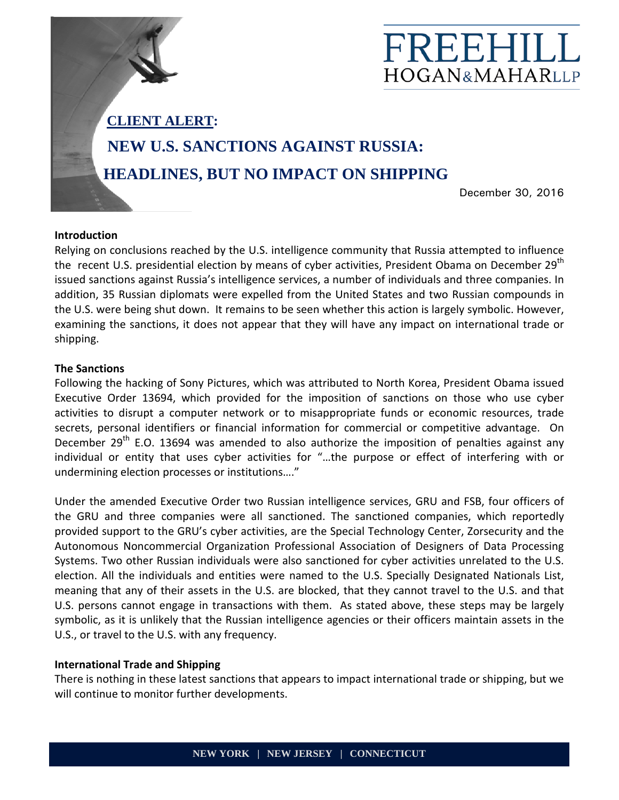

**CLIENT ALERT:**

## **NEW U.S. SANCTIONS AGAINST RUSSIA:**

**HEADLINES, BUT NO IMPACT ON SHIPPING** 

December 30, 2016

## **Introduction**

Relying on conclusions reached by the U.S. intelligence community that Russia attempted to influence the recent U.S. presidential election by means of cyber activities, President Obama on December 29<sup>th</sup> issued sanctions against Russia's intelligence services, a number of individuals and three companies. In addition, 35 Russian diplomats were expelled from the United States and two Russian compounds in the U.S. were being shut down. It remains to be seen whether this action is largely symbolic. However, examining the sanctions, it does not appear that they will have any impact on international trade or shipping.

## **The Sanctions**

Following the hacking of Sony Pictures, which was attributed to North Korea, President Obama issued Executive Order 13694, which provided for the imposition of sanctions on those who use cyber activities to disrupt a computer network or to misappropriate funds or economic resources, trade secrets, personal identifiers or financial information for commercial or competitive advantage. On December  $29^{th}$  E.O. 13694 was amended to also authorize the imposition of penalties against any individual or entity that uses cyber activities for "…the purpose or effect of interfering with or undermining election processes or institutions…."

Under the amended Executive Order two Russian intelligence services, GRU and FSB, four officers of the GRU and three companies were all sanctioned. The sanctioned companies, which reportedly provided support to the GRU's cyber activities, are the Special Technology Center, Zorsecurity and the Autonomous Noncommercial Organization Professional Association of Designers of Data Processing Systems. Two other Russian individuals were also sanctioned for cyber activities unrelated to the U.S. election. All the individuals and entities were named to the U.S. Specially Designated Nationals List, meaning that any of their assets in the U.S. are blocked, that they cannot travel to the U.S. and that U.S. persons cannot engage in transactions with them. As stated above, these steps may be largely symbolic, as it is unlikely that the Russian intelligence agencies or their officers maintain assets in the U.S., or travel to the U.S. with any frequency.

## **International Trade and Shipping**

There is nothing in these latest sanctions that appears to impact international trade or shipping, but we will continue to monitor further developments.